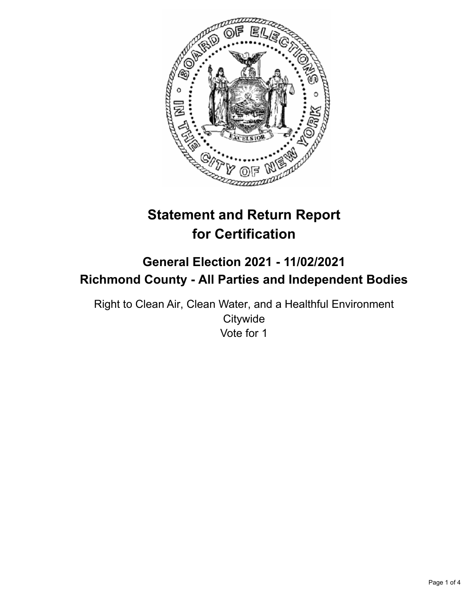

# **Statement and Return Report for Certification**

## **General Election 2021 - 11/02/2021 Richmond County - All Parties and Independent Bodies**

Right to Clean Air, Clean Water, and a Healthful Environment **Citywide** Vote for 1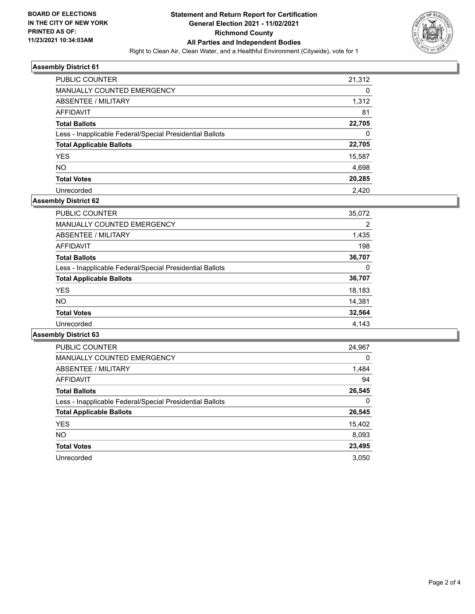

### **Assembly District 61**

| <b>PUBLIC COUNTER</b>                                    | 21,312 |
|----------------------------------------------------------|--------|
| <b>MANUALLY COUNTED EMERGENCY</b>                        | 0      |
| ABSENTEE / MILITARY                                      | 1,312  |
| AFFIDAVIT                                                | 81     |
| <b>Total Ballots</b>                                     | 22,705 |
| Less - Inapplicable Federal/Special Presidential Ballots | 0      |
| <b>Total Applicable Ballots</b>                          | 22,705 |
| <b>YES</b>                                               | 15,587 |
| NO.                                                      | 4,698  |
| <b>Total Votes</b>                                       | 20,285 |
| Unrecorded                                               | 2.420  |

## **Assembly District 62**

| <b>PUBLIC COUNTER</b>                                    | 35,072 |
|----------------------------------------------------------|--------|
| <b>MANUALLY COUNTED EMERGENCY</b>                        | 2      |
| ABSENTEE / MILITARY                                      | 1,435  |
| <b>AFFIDAVIT</b>                                         | 198    |
| <b>Total Ballots</b>                                     | 36,707 |
| Less - Inapplicable Federal/Special Presidential Ballots | 0      |
| <b>Total Applicable Ballots</b>                          | 36,707 |
| <b>YES</b>                                               | 18,183 |
| NO.                                                      | 14,381 |
| <b>Total Votes</b>                                       | 32,564 |
| Unrecorded                                               | 4.143  |

### **Assembly District 63**

| <b>PUBLIC COUNTER</b>                                    | 24,967   |
|----------------------------------------------------------|----------|
| <b>MANUALLY COUNTED EMERGENCY</b>                        | $\Omega$ |
| ABSENTEE / MILITARY                                      | 1,484    |
| <b>AFFIDAVIT</b>                                         | 94       |
| <b>Total Ballots</b>                                     | 26,545   |
| Less - Inapplicable Federal/Special Presidential Ballots | 0        |
| <b>Total Applicable Ballots</b>                          | 26,545   |
| <b>YES</b>                                               | 15,402   |
| NO.                                                      | 8,093    |
| <b>Total Votes</b>                                       | 23,495   |
| Unrecorded                                               | 3.050    |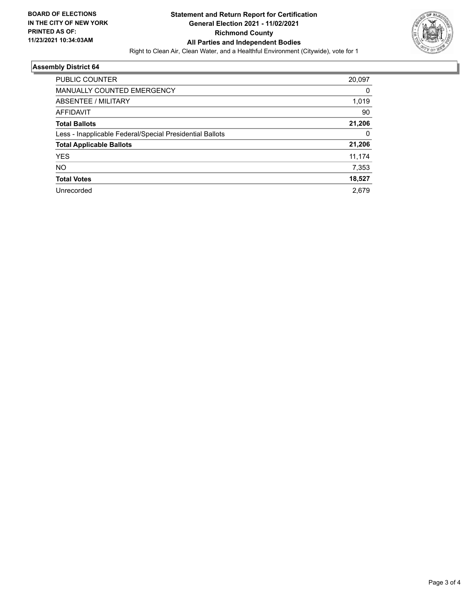

## **Assembly District 64**

| <b>PUBLIC COUNTER</b>                                    | 20,097 |
|----------------------------------------------------------|--------|
| <b>MANUALLY COUNTED EMERGENCY</b>                        | 0      |
| ABSENTEE / MILITARY                                      | 1,019  |
| <b>AFFIDAVIT</b>                                         | 90     |
| <b>Total Ballots</b>                                     | 21,206 |
| Less - Inapplicable Federal/Special Presidential Ballots | 0      |
| <b>Total Applicable Ballots</b>                          | 21,206 |
| YES                                                      | 11,174 |
| NO.                                                      | 7,353  |
| <b>Total Votes</b>                                       | 18,527 |
| Unrecorded                                               | 2.679  |
|                                                          |        |